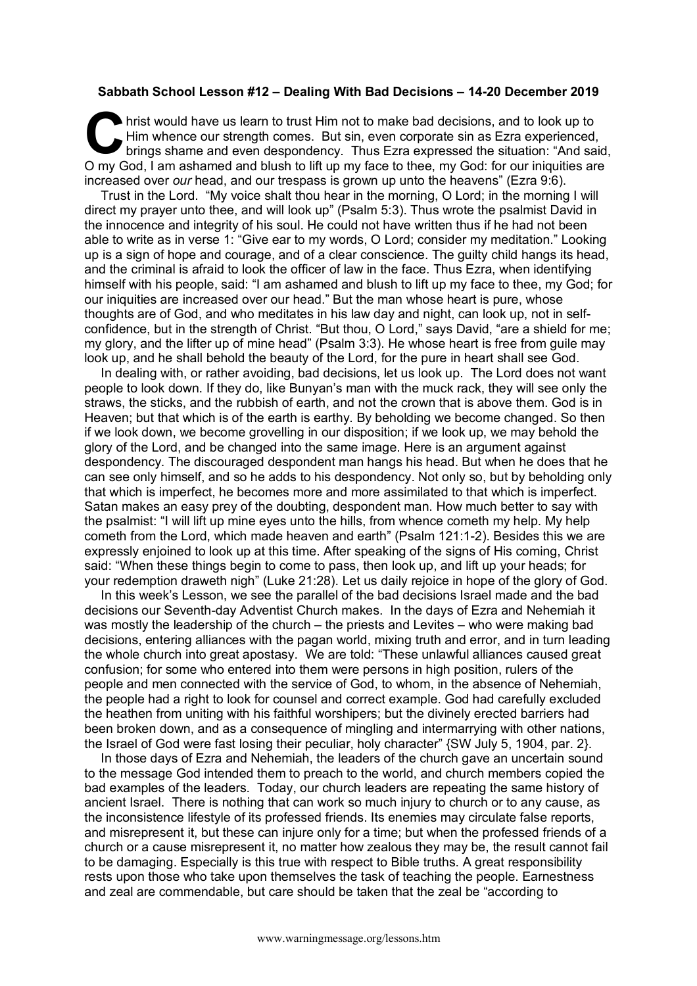## **Sabbath School Lesson #12 – Dealing With Bad Decisions – 14-20 December 2019**

hrist would have us learn to trust Him not to make bad decisions, and to look up to Him whence our strength comes. But sin, even corporate sin as Ezra experienced, brings shame and even despondency. Thus Ezra expressed the situation: "And said, O my God, I am ashamed and blush to lift up my face to thee, my God: for our iniquities are increased over *our* head, and our trespass is grown up unto the heavens" (Ezra 9:6). C Hir

Trust in the Lord. "My voice shalt thou hear in the morning, O Lord; in the morning I will direct my prayer unto thee, and will look up" (Psalm 5:3). Thus wrote the psalmist David in the innocence and integrity of his soul. He could not have written thus if he had not been able to write as in verse 1: "Give ear to my words, O Lord; consider my meditation." Looking up is a sign of hope and courage, and of a clear conscience. The guilty child hangs its head, and the criminal is afraid to look the officer of law in the face. Thus Ezra, when identifying himself with his people, said: "I am ashamed and blush to lift up my face to thee, my God; for our iniquities are increased over our head." But the man whose heart is pure, whose thoughts are of God, and who meditates in his law day and night, can look up, not in selfconfidence, but in the strength of Christ. "But thou, O Lord," says David, "are a shield for me; my glory, and the lifter up of mine head" (Psalm 3:3). He whose heart is free from guile may look up, and he shall behold the beauty of the Lord, for the pure in heart shall see God.

In dealing with, or rather avoiding, bad decisions, let us look up. The Lord does not want people to look down. If they do, like Bunyan's man with the muck rack, they will see only the straws, the sticks, and the rubbish of earth, and not the crown that is above them. God is in Heaven; but that which is of the earth is earthy. By beholding we become changed. So then if we look down, we become grovelling in our disposition; if we look up, we may behold the glory of the Lord, and be changed into the same image. Here is an argument against despondency. The discouraged despondent man hangs his head. But when he does that he can see only himself, and so he adds to his despondency. Not only so, but by beholding only that which is imperfect, he becomes more and more assimilated to that which is imperfect. Satan makes an easy prey of the doubting, despondent man. How much better to say with the psalmist: "I will lift up mine eyes unto the hills, from whence cometh my help. My help cometh from the Lord, which made heaven and earth" (Psalm 121:1-2). Besides this we are expressly enjoined to look up at this time. After speaking of the signs of His coming, Christ said: "When these things begin to come to pass, then look up, and lift up your heads; for your redemption draweth nigh" (Luke 21:28). Let us daily rejoice in hope of the glory of God.

In this week's Lesson, we see the parallel of the bad decisions Israel made and the bad decisions our Seventh-day Adventist Church makes. In the days of Ezra and Nehemiah it was mostly the leadership of the church – the priests and Levites – who were making bad decisions, entering alliances with the pagan world, mixing truth and error, and in turn leading the whole church into great apostasy. We are told: "These unlawful alliances caused great confusion; for some who entered into them were persons in high position, rulers of the people and men connected with the service of God, to whom, in the absence of Nehemiah, the people had a right to look for counsel and correct example. God had carefully excluded the heathen from uniting with his faithful worshipers; but the divinely erected barriers had been broken down, and as a consequence of mingling and intermarrying with other nations, the Israel of God were fast losing their peculiar, holy character" {SW July 5, 1904, par. 2}.

In those days of Ezra and Nehemiah, the leaders of the church gave an uncertain sound to the message God intended them to preach to the world, and church members copied the bad examples of the leaders. Today, our church leaders are repeating the same history of ancient Israel. There is nothing that can work so much injury to church or to any cause, as the inconsistence lifestyle of its professed friends. Its enemies may circulate false reports, and misrepresent it, but these can injure only for a time; but when the professed friends of a church or a cause misrepresent it, no matter how zealous they may be, the result cannot fail to be damaging. Especially is this true with respect to Bible truths. A great responsibility rests upon those who take upon themselves the task of teaching the people. Earnestness and zeal are commendable, but care should be taken that the zeal be "according to